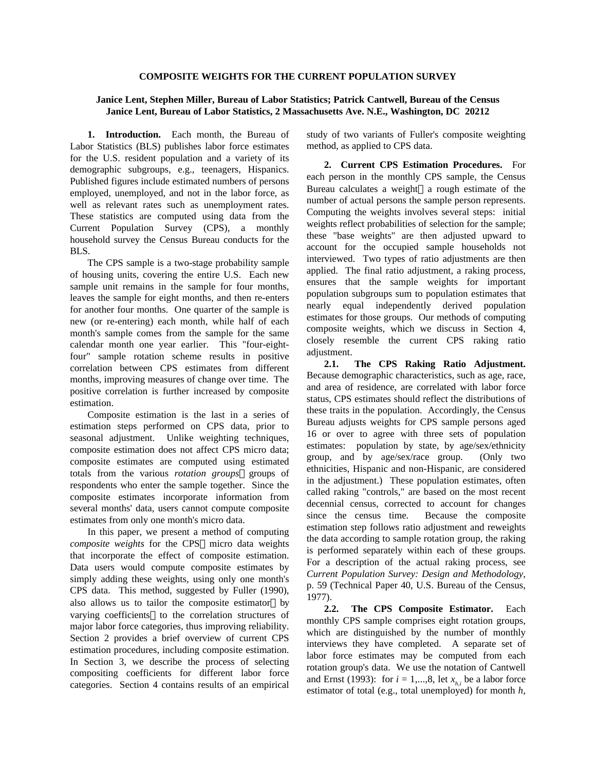## **COMPOSITE WEIGHTS FOR THE CURRENT POPULATION SURVEY**

## **Janice Lent, Stephen Miller, Bureau of Labor Statistics; Patrick Cantwell, Bureau of the Census Janice Lent, Bureau of Labor Statistics, 2 Massachusetts Ave. N.E., Washington, DC 20212**

**1. Introduction.** Each month, the Bureau of Labor Statistics (BLS) publishes labor force estimates for the U.S. resident population and a variety of its demographic subgroups, e.g., teenagers, Hispanics. Published figures include estimated numbers of persons employed, unemployed, and not in the labor force, as well as relevant rates such as unemployment rates. These statistics are computed using data from the Current Population Survey (CPS), a monthly household survey the Census Bureau conducts for the BLS.

The CPS sample is a two-stage probability sample of housing units, covering the entire U.S. Each new sample unit remains in the sample for four months, leaves the sample for eight months, and then re-enters for another four months. One quarter of the sample is new (or re-entering) each month, while half of each month's sample comes from the sample for the same calendar month one year earlier. This "four-eightfour" sample rotation scheme results in positive correlation between CPS estimates from different months, improving measures of change over time. The positive correlation is further increased by composite estimation.

Composite estimation is the last in a series of estimation steps performed on CPS data, prior to seasonal adjustment. Unlike weighting techniques, composite estimation does not affect CPS micro data; composite estimates are computed using estimated totals from the various *rotation groups*—groups of respondents who enter the sample together. Since the composite estimates incorporate information from several months' data, users cannot compute composite estimates from only one month's micro data.

In this paper, we present a method of computing *composite weights* for the CPS-micro data weights that incorporate the effect of composite estimation. Data users would compute composite estimates by simply adding these weights, using only one month's CPS data. This method, suggested by Fuller (1990), also allows us to tailor the composite estimator---varying coefficients-to the correlation structures of major labor force categories, thus improving reliability. Section 2 provides a brief overview of current CPS estimation procedures, including composite estimation. In Section 3, we describe the process of selecting compositing coefficients for different labor force categories. Section 4 contains results of an empirical

study of two variants of Fuller's composite weighting method, as applied to CPS data.

**2. Current CPS Estimation Procedures.** For each person in the monthly CPS sample, the Census Bureau calculates a weight—a rough estimate of the number of actual persons the sample person represents. Computing the weights involves several steps: initial weights reflect probabilities of selection for the sample; these "base weights" are then adjusted upward to account for the occupied sample households not interviewed. Two types of ratio adjustments are then applied. The final ratio adjustment, a raking process, ensures that the sample weights for important population subgroups sum to population estimates that nearly equal independently derived population estimates for those groups. Our methods of computing composite weights, which we discuss in Section 4, closely resemble the current CPS raking ratio adjustment.

**2.1. The CPS Raking Ratio Adjustment.** Because demographic characteristics, such as age, race, and area of residence, are correlated with labor force status, CPS estimates should reflect the distributions of these traits in the population. Accordingly, the Census Bureau adjusts weights for CPS sample persons aged 16 or over to agree with three sets of population estimates: population by state, by age/sex/ethnicity group, and by age/sex/race group. (Only two ethnicities, Hispanic and non-Hispanic, are considered in the adjustment.) These population estimates, often called raking "controls," are based on the most recent decennial census, corrected to account for changes since the census time. Because the composite estimation step follows ratio adjustment and reweights the data according to sample rotation group, the raking is performed separately within each of these groups. For a description of the actual raking process, see *Current Population Survey: Design and Methodology,* p. 59 (Technical Paper 40, U.S. Bureau of the Census, 1977).

**2.2. The CPS Composite Estimator.** Each monthly CPS sample comprises eight rotation groups, which are distinguished by the number of monthly interviews they have completed. A separate set of labor force estimates may be computed from each rotation group's data. We use the notation of Cantwell and Ernst (1993): for  $i = 1,...,8$ , let  $x_{h,i}$  be a labor force estimator of total (e.g., total unemployed) for month *h,*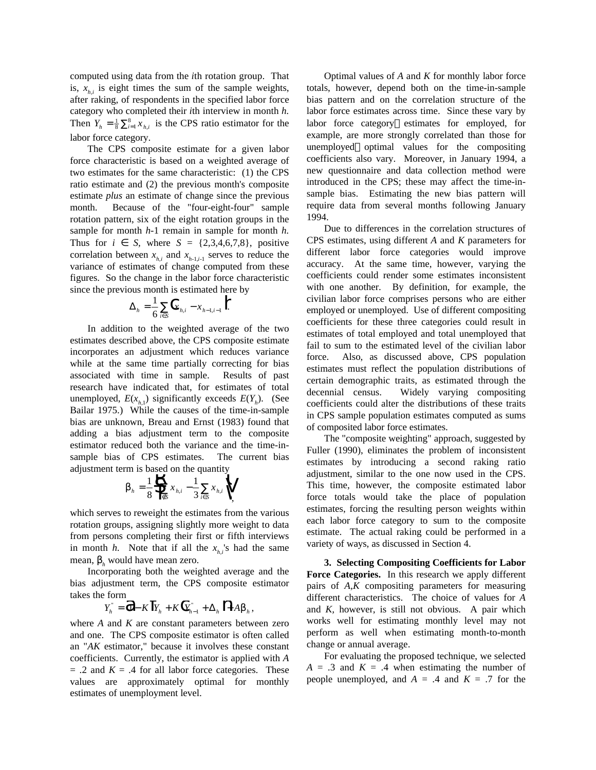computed using data from the *i*th rotation group. That is,  $x_{h,i}$  is eight times the sum of the sample weights, after raking, of respondents in the specified labor force category who completed their *i*th interview in month *h.* Then  $Y_h = \frac{1}{8} \sum_{i=1}^{8} x_{h,i}$  is the CPS ratio estimator for the labor force category.

The CPS composite estimate for a given labor force characteristic is based on a weighted average of two estimates for the same characteristic: (1) the CPS ratio estimate and (2) the previous month's composite estimate *plus* an estimate of change since the previous month. Because of the "four-eight-four" sample rotation pattern, six of the eight rotation groups in the sample for month *h*-1 remain in sample for month *h.* Thus for  $i \in S$ , where  $S = \{2,3,4,6,7,8\}$ , positive correlation between  $x_{h,i}$  and  $x_{h+1,i-1}$  serves to reduce the variance of estimates of change computed from these figures. So the change in the labor force characteristic since the previous month is estimated here by

$$
\Delta_h = \frac{1}{6} \sum_{i \in S} \int x_{h,i} - x_{h-1,i-1} \, \Big| \, .
$$

In addition to the weighted average of the two estimates described above, the CPS composite estimate incorporates an adjustment which reduces variance while at the same time partially correcting for bias associated with time in sample. Results of past research have indicated that, for estimates of total unemployed,  $E(x_{h,1})$  significantly exceeds  $E(Y_h)$ . (See Bailar 1975.) While the causes of the time-in-sample bias are unknown, Breau and Ernst (1983) found that adding a bias adjustment term to the composite estimator reduced both the variance and the time-insample bias of CPS estimates. The current bias

adjustment term is based on the quantity  
\n
$$
b_{h} = \frac{1}{8} \oint_{i \in S}^{R} \sum_{h,i} x_{h,i} - \frac{1}{3} \sum_{i \in S} x_{h,i} \Big|_{i=1}^{M}
$$

which serves to reweight the estimates from the various rotation groups, assigning slightly more weight to data from persons completing their first or fifth interviews in month *h*. Note that if all the  $x<sub>h,i</sub>$ 's had the same mean, β*<sup>h</sup>* would have mean zero.

Incorporating both the weighted average and the bias adjustment term, the CPS composite estimator takes the form

$$
Y_{h}^{T} = \hat{d}1 - K \big[ Y_{h} + K \big[ Y_{h-1}^{T} + \Delta_{h} \big] + Ab_{h},
$$

where *A* and *K* are constant parameters between zero and one. The CPS composite estimator is often called an "*AK* estimator," because it involves these constant coefficients. Currently, the estimator is applied with *A*  $= .2$  and  $K = .4$  for all labor force categories. These values are approximately optimal for monthly estimates of unemployment level.

Optimal values of *A* and *K* for monthly labor force totals, however, depend both on the time-in-sample bias pattern and on the correlation structure of the labor force estimates across time. Since these vary by labor force category-estimates for employed, for example, are more strongly correlated than those for unemployed—optimal values for the compositing coefficients also vary. Moreover, in January 1994, a new questionnaire and data collection method were introduced in the CPS; these may affect the time-insample bias. Estimating the new bias pattern will require data from several months following January 1994.

Due to differences in the correlation structures of CPS estimates, using different *A* and *K* parameters for different labor force categories would improve accuracy. At the same time, however, varying the coefficients could render some estimates inconsistent with one another. By definition, for example, the civilian labor force comprises persons who are either employed or unemployed. Use of different compositing coefficients for these three categories could result in estimates of total employed and total unemployed that fail to sum to the estimated level of the civilian labor force. Also, as discussed above, CPS population estimates must reflect the population distributions of certain demographic traits, as estimated through the decennial census. Widely varying compositing coefficients could alter the distributions of these traits in CPS sample population estimates computed as sums of composited labor force estimates.

The "composite weighting" approach, suggested by Fuller (1990), eliminates the problem of inconsistent estimates by introducing a second raking ratio adjustment, similar to the one now used in the CPS. This time, however, the composite estimated labor force totals would take the place of population estimates, forcing the resulting person weights within each labor force category to sum to the composite estimate. The actual raking could be performed in a variety of ways, as discussed in Section 4.

**3. Selecting Compositing Coefficients for Labor Force Categories.** In this research we apply different pairs of *A,K* compositing parameters for measuring different characteristics. The choice of values for *A* and *K,* however, is still not obvious. A pair which works well for estimating monthly level may not perform as well when estimating month-to-month change or annual average.

For evaluating the proposed technique, we selected  $A = .3$  and  $K = .4$  when estimating the number of people unemployed, and  $A = .4$  and  $K = .7$  for the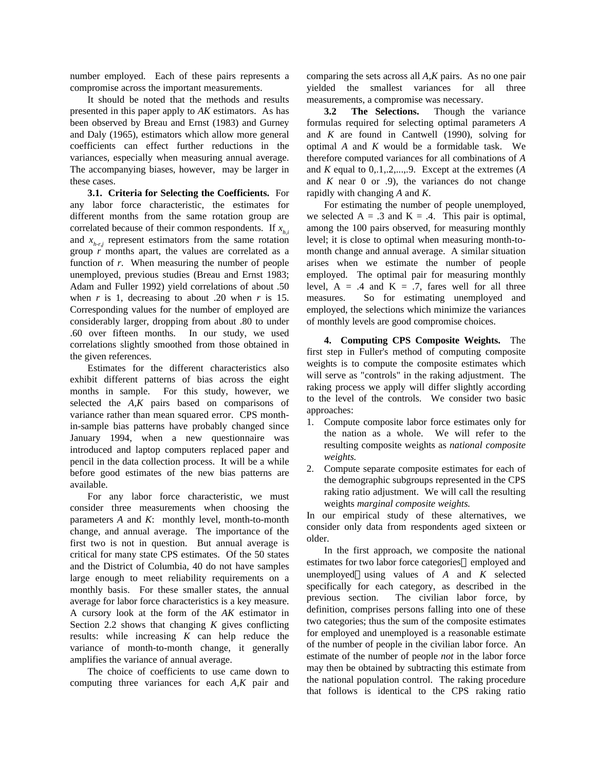number employed. Each of these pairs represents a compromise across the important measurements.

It should be noted that the methods and results presented in this paper apply to *AK* estimators. As has been observed by Breau and Ernst (1983) and Gurney and Daly (1965), estimators which allow more general coefficients can effect further reductions in the variances, especially when measuring annual average. The accompanying biases, however, may be larger in these cases.

**3.1. Criteria for Selecting the Coefficients.** For any labor force characteristic, the estimates for different months from the same rotation group are correlated because of their common respondents. If  $x<sub>i</sub>$ , and  $x_{h+ri}$  represent estimators from the same rotation group *r* months apart, the values are correlated as a function of *r*. When measuring the number of people unemployed, previous studies (Breau and Ernst 1983; Adam and Fuller 1992) yield correlations of about .50 when *r* is 1, decreasing to about .20 when *r* is 15. Corresponding values for the number of employed are considerably larger, dropping from about .80 to under .60 over fifteen months. In our study, we used correlations slightly smoothed from those obtained in the given references.

Estimates for the different characteristics also exhibit different patterns of bias across the eight months in sample. For this study, however, we selected the *A,K* pairs based on comparisons of variance rather than mean squared error. CPS monthin-sample bias patterns have probably changed since January 1994, when a new questionnaire was introduced and laptop computers replaced paper and pencil in the data collection process. It will be a while before good estimates of the new bias patterns are available.

For any labor force characteristic, we must consider three measurements when choosing the parameters *A* and *K*: monthly level, month-to-month change, and annual average. The importance of the first two is not in question. But annual average is critical for many state CPS estimates. Of the 50 states and the District of Columbia, 40 do not have samples large enough to meet reliability requirements on a monthly basis. For these smaller states, the annual average for labor force characteristics is a key measure. A cursory look at the form of the *AK* estimator in Section 2.2 shows that changing *K* gives conflicting results: while increasing *K* can help reduce the variance of month-to-month change, it generally amplifies the variance of annual average.

The choice of coefficients to use came down to computing three variances for each *A,K* pair and comparing the sets across all *A,K* pairs. As no one pair yielded the smallest variances for all three measurements, a compromise was necessary.

**3.2 The Selections.** Though the variance formulas required for selecting optimal parameters *A* and *K* are found in Cantwell (1990), solving for optimal *A* and *K* would be a formidable task. We therefore computed variances for all combinations of *A* and *K* equal to 0,.1,.2,...,.9. Except at the extremes (*A* and  $K$  near  $0$  or  $.9$ ), the variances do not change rapidly with changing *A* and *K*.

For estimating the number of people unemployed, we selected  $A = .3$  and  $K = .4$ . This pair is optimal, among the 100 pairs observed, for measuring monthly level; it is close to optimal when measuring month-tomonth change and annual average. A similar situation arises when we estimate the number of people employed. The optimal pair for measuring monthly level,  $A = .4$  and  $K = .7$ , fares well for all three measures. So for estimating unemployed and employed, the selections which minimize the variances of monthly levels are good compromise choices.

**4. Computing CPS Composite Weights.** The first step in Fuller's method of computing composite weights is to compute the composite estimates which will serve as "controls" in the raking adjustment. The raking process we apply will differ slightly according to the level of the controls. We consider two basic approaches:

- 1. Compute composite labor force estimates only for the nation as a whole. We will refer to the resulting composite weights as *national composite weights.*
- 2. Compute separate composite estimates for each of the demographic subgroups represented in the CPS raking ratio adjustment. We will call the resulting weights *marginal composite weights.*

In our empirical study of these alternatives, we consider only data from respondents aged sixteen or older.

In the first approach, we composite the national estimates for two labor force categories—employed and unemployed—using values of  $A$  and  $K$  selected specifically for each category, as described in the previous section. The civilian labor force, by definition, comprises persons falling into one of these two categories; thus the sum of the composite estimates for employed and unemployed is a reasonable estimate of the number of people in the civilian labor force. An estimate of the number of people *not* in the labor force may then be obtained by subtracting this estimate from the national population control. The raking procedure that follows is identical to the CPS raking ratio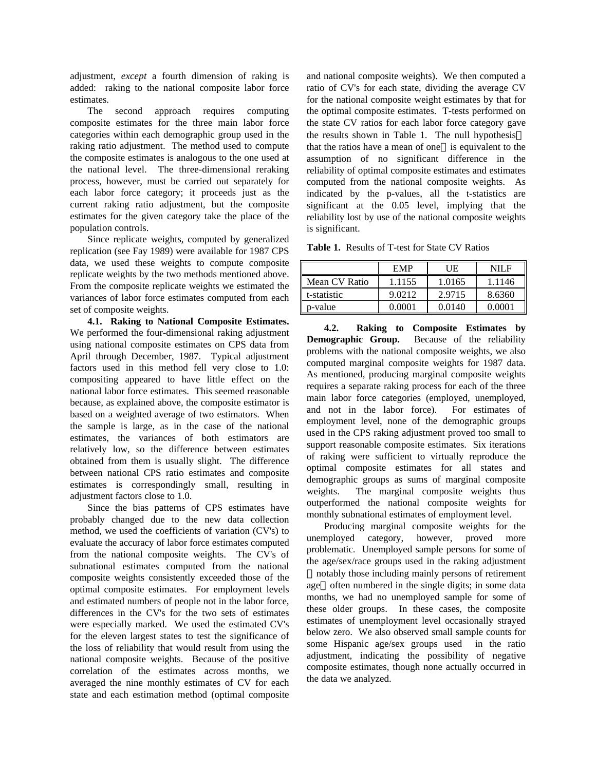adjustment, *except* a fourth dimension of raking is added: raking to the national composite labor force estimates.

The second approach requires computing composite estimates for the three main labor force categories within each demographic group used in the raking ratio adjustment. The method used to compute the composite estimates is analogous to the one used at the national level. The three-dimensional reraking process, however, must be carried out separately for each labor force category; it proceeds just as the current raking ratio adjustment, but the composite estimates for the given category take the place of the population controls.

Since replicate weights, computed by generalized replication (see Fay 1989) were available for 1987 CPS data, we used these weights to compute composite replicate weights by the two methods mentioned above. From the composite replicate weights we estimated the variances of labor force estimates computed from each set of composite weights.

**4.1. Raking to National Composite Estimates.** We performed the four-dimensional raking adjustment using national composite estimates on CPS data from April through December, 1987. Typical adjustment factors used in this method fell very close to 1.0: compositing appeared to have little effect on the national labor force estimates. This seemed reasonable because, as explained above, the composite estimator is based on a weighted average of two estimators. When the sample is large, as in the case of the national estimates, the variances of both estimators are relatively low, so the difference between estimates obtained from them is usually slight. The difference between national CPS ratio estimates and composite estimates is correspondingly small, resulting in adjustment factors close to 1.0.

Since the bias patterns of CPS estimates have probably changed due to the new data collection method, we used the coefficients of variation (CV's) to evaluate the accuracy of labor force estimates computed from the national composite weights. The CV's of subnational estimates computed from the national composite weights consistently exceeded those of the optimal composite estimates. For employment levels and estimated numbers of people not in the labor force, differences in the CV's for the two sets of estimates were especially marked. We used the estimated CV's for the eleven largest states to test the significance of the loss of reliability that would result from using the national composite weights. Because of the positive correlation of the estimates across months, we averaged the nine monthly estimates of CV for each state and each estimation method (optimal composite

and national composite weights). We then computed a ratio of CV's for each state, dividing the average CV for the national composite weight estimates by that for the optimal composite estimates. T-tests performed on the state CV ratios for each labor force category gave the results shown in Table 1. The null hypothesis that the ratios have a mean of one-is equivalent to the assumption of no significant difference in the reliability of optimal composite estimates and estimates computed from the national composite weights. As indicated by the p-values, all the t-statistics are significant at the 0.05 level, implying that the reliability lost by use of the national composite weights is significant.

**Table 1.** Results of T-test for State CV Ratios

|               | <b>EMP</b> | UE     | NIL F  |
|---------------|------------|--------|--------|
| Mean CV Ratio | 1.1155     | 1.0165 | 1.1146 |
| t-statistic   | 9.0212     | 2.9715 | 8.6360 |
| p-value       | 0.0001     | 0.0140 | 0.0001 |

**4.2. Raking to Composite Estimates by Demographic Group.** Because of the reliability problems with the national composite weights, we also computed marginal composite weights for 1987 data. As mentioned, producing marginal composite weights requires a separate raking process for each of the three main labor force categories (employed, unemployed, and not in the labor force). For estimates of employment level, none of the demographic groups used in the CPS raking adjustment proved too small to support reasonable composite estimates. Six iterations of raking were sufficient to virtually reproduce the optimal composite estimates for all states and demographic groups as sums of marginal composite weights. The marginal composite weights thus outperformed the national composite weights for monthly subnational estimates of employment level.

Producing marginal composite weights for the unemployed category, however, proved more problematic. Unemployed sample persons for some of the age/sex/race groups used in the raking adjustment notably those including mainly persons of retirement age—often numbered in the single digits; in some data months, we had no unemployed sample for some of these older groups. In these cases, the composite estimates of unemployment level occasionally strayed below zero. We also observed small sample counts for some Hispanic age/sex groups used in the ratio adjustment, indicating the possibility of negative composite estimates, though none actually occurred in the data we analyzed.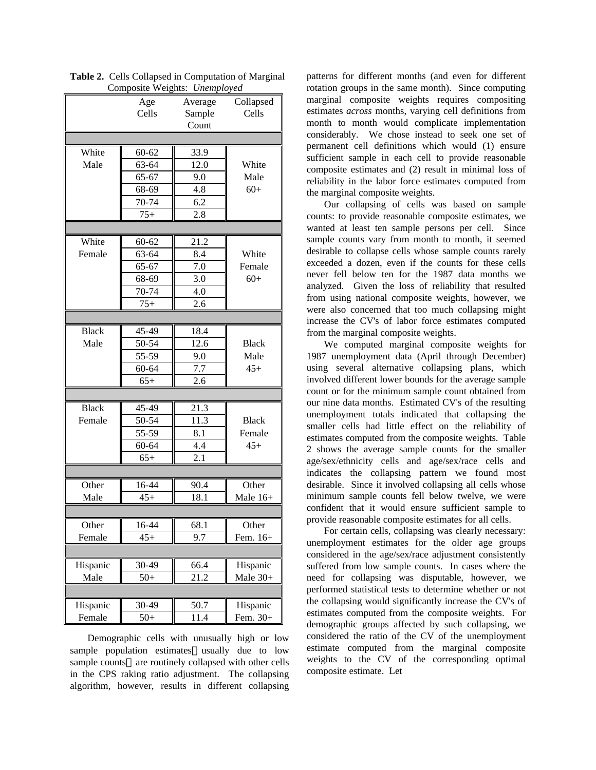| Composite weights: <i>Unemployed</i> |           |           |              |  |  |  |
|--------------------------------------|-----------|-----------|--------------|--|--|--|
|                                      | Age       | Average   | Collapsed    |  |  |  |
|                                      | Cells     | Sample    | Cells        |  |  |  |
|                                      |           | Count     |              |  |  |  |
|                                      |           |           |              |  |  |  |
| White                                | $60 - 62$ | 33.9      |              |  |  |  |
| Male                                 | 63-64     | 12.0      | White        |  |  |  |
|                                      | 65-67     | 9.0       | Male         |  |  |  |
|                                      | 68-69     | 4.8       | $60+$        |  |  |  |
|                                      | 70-74     | 6.2       |              |  |  |  |
|                                      | $75+$     | 2.8       |              |  |  |  |
|                                      |           |           |              |  |  |  |
| White                                |           |           |              |  |  |  |
|                                      | $60 - 62$ | 21.2      |              |  |  |  |
| Female                               | 63-64     | 8.4       | White        |  |  |  |
|                                      | $65 - 67$ | 7.0       | Female       |  |  |  |
|                                      | 68-69     | 3.0       | $60+$        |  |  |  |
|                                      | 70-74     | 4.0       |              |  |  |  |
|                                      | $75+$     | 2.6       |              |  |  |  |
|                                      |           |           |              |  |  |  |
| <b>Black</b>                         | 45-49     | 18.4      |              |  |  |  |
| Male                                 | 50-54     | 12.6      | <b>Black</b> |  |  |  |
|                                      | 55-59     | 9.0       | Male         |  |  |  |
|                                      | $60 - 64$ | 7.7       | $45+$        |  |  |  |
|                                      | $65+$     | 2.6       |              |  |  |  |
|                                      |           |           |              |  |  |  |
| <b>Black</b>                         | 45-49     | 21.3      |              |  |  |  |
| Female                               | 50-54     | 11.3      | <b>Black</b> |  |  |  |
|                                      | 55-59     | 8.1       | Female       |  |  |  |
|                                      | 60-64     | 4.4       | $45+$        |  |  |  |
|                                      | $65+$     | 2.1       |              |  |  |  |
|                                      |           |           |              |  |  |  |
| Other                                | 16-44     | 90.4      | Other        |  |  |  |
| Male                                 | $45+$     | 18.1      | Male 16+     |  |  |  |
|                                      |           |           |              |  |  |  |
| Ι<br>Other                           | 16-44     | ╥<br>68.1 | T<br>Other   |  |  |  |
| Female                               | $45+$     | 9.7       | Fem. 16+     |  |  |  |
|                                      |           |           |              |  |  |  |
| Hispanic                             | 30-49     | 66.4      | Hispanic     |  |  |  |
| Male                                 | $50+$     | 21.2      | Male 30+     |  |  |  |
|                                      |           |           |              |  |  |  |
| Hispanic                             | 30-49     | 50.7      | Hispanic     |  |  |  |
| Female                               | $50+$     | 11.4      | Fem. 30+     |  |  |  |
|                                      |           |           |              |  |  |  |

**Table 2.** Cells Collapsed in Computation of Marginal Composite Weights: *Unemployed*

Demographic cells with unusually high or low sample population estimates—usually due to low sample counts—are routinely collapsed with other cells in the CPS raking ratio adjustment. The collapsing algorithm, however, results in different collapsing patterns for different months (and even for different rotation groups in the same month). Since computing marginal composite weights requires compositing estimates *across* months, varying cell definitions from month to month would complicate implementation considerably. We chose instead to seek one set of permanent cell definitions which would (1) ensure sufficient sample in each cell to provide reasonable composite estimates and (2) result in minimal loss of reliability in the labor force estimates computed from the marginal composite weights.

Our collapsing of cells was based on sample counts: to provide reasonable composite estimates, we wanted at least ten sample persons per cell. Since sample counts vary from month to month, it seemed desirable to collapse cells whose sample counts rarely exceeded a dozen, even if the counts for these cells never fell below ten for the 1987 data months we analyzed. Given the loss of reliability that resulted from using national composite weights, however, we were also concerned that too much collapsing might increase the CV's of labor force estimates computed from the marginal composite weights.

We computed marginal composite weights for 1987 unemployment data (April through December) using several alternative collapsing plans, which involved different lower bounds for the average sample count or for the minimum sample count obtained from our nine data months. Estimated CV's of the resulting unemployment totals indicated that collapsing the smaller cells had little effect on the reliability of estimates computed from the composite weights. Table 2 shows the average sample counts for the smaller age/sex/ethnicity cells and age/sex/race cells and indicates the collapsing pattern we found most desirable. Since it involved collapsing all cells whose minimum sample counts fell below twelve, we were confident that it would ensure sufficient sample to provide reasonable composite estimates for all cells.

For certain cells, collapsing was clearly necessary: unemployment estimates for the older age groups considered in the age/sex/race adjustment consistently suffered from low sample counts. In cases where the need for collapsing was disputable, however, we performed statistical tests to determine whether or not the collapsing would significantly increase the CV's of estimates computed from the composite weights. For demographic groups affected by such collapsing, we considered the ratio of the CV of the unemployment estimate computed from the marginal composite weights to the CV of the corresponding optimal composite estimate. Let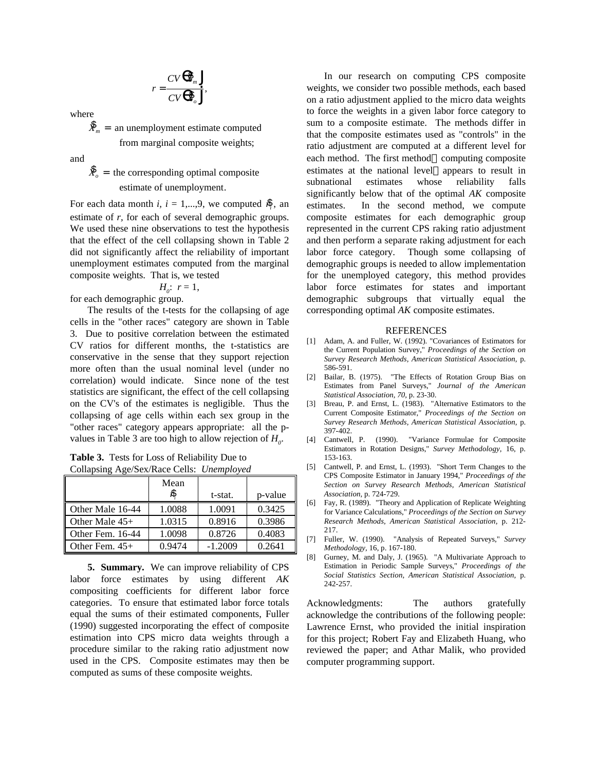$$
r = \frac{CV^{\theta} \hat{\mathbf{X}}_m \Big|}{CV^{\theta} \hat{\mathbf{X}}_o} ,
$$

where

 $\oint_{m}$  = an unemployment estimate computed from marginal composite weights;

and

 $\dot{X}_o$  = the corresponding optimal composite estimate of unemployment.

For each data month *i*,  $i = 1,...,9$ , we computed  $\frac{8}{7}$ , an estimate of *r,* for each of several demographic groups. We used these nine observations to test the hypothesis that the effect of the cell collapsing shown in Table 2 did not significantly affect the reliability of important unemployment estimates computed from the marginal composite weights. That is, we tested

 $H_0: r=1$ ,

for each demographic group.

The results of the t-tests for the collapsing of age cells in the "other races" category are shown in Table 3. Due to positive correlation between the estimated CV ratios for different months, the t-statistics are conservative in the sense that they support rejection more often than the usual nominal level (under no correlation) would indicate. Since none of the test statistics are significant, the effect of the cell collapsing on the CV's of the estimates is negligible. Thus the collapsing of age cells within each sex group in the "other races" category appears appropriate: all the pvalues in Table 3 are too high to allow rejection of *H<sup>0</sup>* .

**Table 3.** Tests for Loss of Reliability Due to Collapsing Age/Sex/Race Cells: *Unemployed*

|                  | Mean<br>Я | t-stat.   | p-value |
|------------------|-----------|-----------|---------|
| Other Male 16-44 | 1.0088    | 1.0091    | 0.3425  |
| Other Male $45+$ | 1.0315    | 0.8916    | 0.3986  |
| Other Fem. 16-44 | 1.0098    | 0.8726    | 0.4083  |
| Other Fem. $45+$ | 0.9474    | $-1.2009$ | 0.2641  |

**5. Summary.** We can improve reliability of CPS labor force estimates by using different *AK* compositing coefficients for different labor force categories. To ensure that estimated labor force totals equal the sums of their estimated components, Fuller (1990) suggested incorporating the effect of composite estimation into CPS micro data weights through a procedure similar to the raking ratio adjustment now used in the CPS. Composite estimates may then be computed as sums of these composite weights.

In our research on computing CPS composite weights, we consider two possible methods, each based on a ratio adjustment applied to the micro data weights to force the weights in a given labor force category to sum to a composite estimate. The methods differ in that the composite estimates used as "controls" in the ratio adjustment are computed at a different level for each method. The first method-computing composite estimates at the national level—appears to result in subnational estimates whose reliability falls significantly below that of the optimal *AK* composite estimates. In the second method, we compute composite estimates for each demographic group represented in the current CPS raking ratio adjustment and then perform a separate raking adjustment for each labor force category. Though some collapsing of demographic groups is needed to allow implementation for the unemployed category, this method provides labor force estimates for states and important demographic subgroups that virtually equal the corresponding optimal *AK* composite estimates.

## REFERENCES

- [1] Adam, A. and Fuller, W. (1992). "Covariances of Estimators for the Current Population Survey," *Proceedings of the Section on Survey Research Methods, American Statistical Association,* p. 586-591.
- [2] Bailar, B. (1975). "The Effects of Rotation Group Bias on Estimates from Panel Surveys," *Journal of the American Statistical Association, 70,* p. 23-30.
- [3] Breau, P. and Ernst, L. (1983). "Alternative Estimators to the Current Composite Estimator," *Proceedings of the Section on Survey Research Methods, American Statistical Association,* p. 397-402.
- [4] Cantwell, P. (1990). "Variance Formulae for Composite Estimators in Rotation Designs," *Survey Methodology,* 16, p. 153-163.
- [5] Cantwell, P. and Ernst, L. (1993). "Short Term Changes to the CPS Composite Estimator in January 1994," *Proceedings of the Section on Survey Research Methods, American Statistical Association,* p. 724-729.
- [6] Fay, R. (1989). "Theory and Application of Replicate Weighting for Variance Calculations," *Proceedings of the Section on Survey Research Methods, American Statistical Association,* p. 212- 217.
- [7] Fuller, W. (1990). "Analysis of Repeated Surveys," *Survey Methodology,* 16, p. 167-180.
- Gurney, M. and Daly, J. (1965). "A Multivariate Approach to Estimation in Periodic Sample Surveys," *Proceedings of the Social Statistics Section, American Statistical Association,* p. 242-257.

Acknowledgments: The authors gratefully acknowledge the contributions of the following people: Lawrence Ernst, who provided the initial inspiration for this project; Robert Fay and Elizabeth Huang, who reviewed the paper; and Athar Malik, who provided computer programming support.